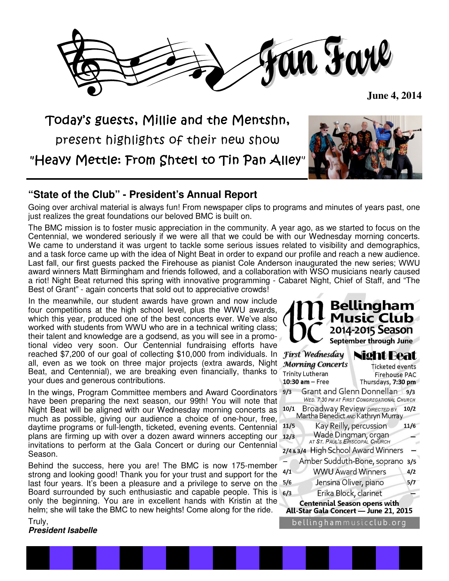

 **June 4, 2014** 

Today's guests, Millie and the Mentshn,

present highlights of their new show

"Heavy Mettle: From Shtetl to Tin Pan Alley"

## **"State of the Club" - President's Annual Report**

Going over archival material is always fun! From newspaper clips to programs and minutes of years past, one just realizes the great foundations our beloved BMC is built on.

The BMC mission is to foster music appreciation in the community. A year ago, as we started to focus on the Centennial, we wondered seriously if we were all that we could be with our Wednesday morning concerts. We came to understand it was urgent to tackle some serious issues related to visibility and demographics, and a task force came up with the idea of Night Beat in order to expand our profile and reach a new audience. Last fall, our first guests packed the Firehouse as pianist Cole Anderson inaugurated the new series; WWU award winners Matt Birmingham and friends followed, and a collaboration with WSO musicians nearly caused a riot! Night Beat returned this spring with innovative programming - Cabaret Night, Chief of Staff, and "The Best of Grant" - again concerts that sold out to appreciative crowds!

In the meanwhile, our student awards have grown and now include four competitions at the high school level, plus the WWU awards, which this year, produced one of the best concerts ever. We've also worked with students from WWU who are in a technical writing class; their talent and knowledge are a godsend, as you will see in a promotional video very soon. Our Centennial fundraising efforts have reached \$7,200 of our goal of collecting \$10,000 from individuals. In all, even as we took on three major projects (extra awards, Night Beat, and Centennial), we are breaking even financially, thanks to your dues and generous contributions.

In the wings, Program Committee members and Award Coordinators have been preparing the next season, our 99th! You will note that Night Beat will be aligned with our Wednesday morning concerts as much as possible, giving our audience a choice of one-hour, free, daytime programs or full-length, ticketed, evening events. Centennial plans are firming up with over a dozen award winners accepting our invitations to perform at the Gala Concert or during our Centennial Season.

Behind the success, here you are! The BMC is now 175-member strong and looking good! Thank you for your trust and support for the last four years. It's been a pleasure and a privilege to serve on the Board surrounded by such enthusiastic and capable people. This is only the beginning. You are in excellent hands with Kristin at the helm; she will take the BMC to new heights! Come along for the ride.

Truly, **President Isabelle**

| <b>Music Club</b><br>2014-2015 Season                                                         |                        |
|-----------------------------------------------------------------------------------------------|------------------------|
| <b>September through June</b>                                                                 |                        |
| <b>First Wednesday</b>                                                                        | <b>Night Beat</b>      |
| <b>Morning Concerts</b>                                                                       | <b>Ticketed events</b> |
| <b>Trinity Lutheran</b>                                                                       | Firehouse PAC          |
| 10:30 am - Free                                                                               | Thursdays, 7:30 pm     |
| Grant and Glenn Donnellan<br>9/3<br>9/3<br><b>WED. 7:30 PM AT FIRST CONGREGATIONAL CHURCH</b> |                        |
| 10/1 Broadway Review DIRECTED BY<br>Martha Benedict AND Kathryn Murray<br>10/2                |                        |
| Kay Reilly, percussion<br>11/5                                                                | 11/6                   |
| Wade Dingman, organ<br>AT ST. PAUL'S EPISCOPAL CHURCH<br>12/3                                 |                        |
| High School Award Winners<br>2/483/4                                                          |                        |
| Amber Sudduth-Bone, soprano<br>3/5                                                            |                        |
| <b>WWU Award Winners</b><br>4/1                                                               | 4/2                    |
| Jensina Oliver, piano<br>5/6                                                                  | 5/7                    |
| Erika Block, clarinet<br>6/3                                                                  |                        |
| <b>Centennial Season opens with</b><br>All-Star Gala Concert - June 21, 2015                  |                        |
| belling hammusicclub.org                                                                      |                        |

*IM Bellingham*